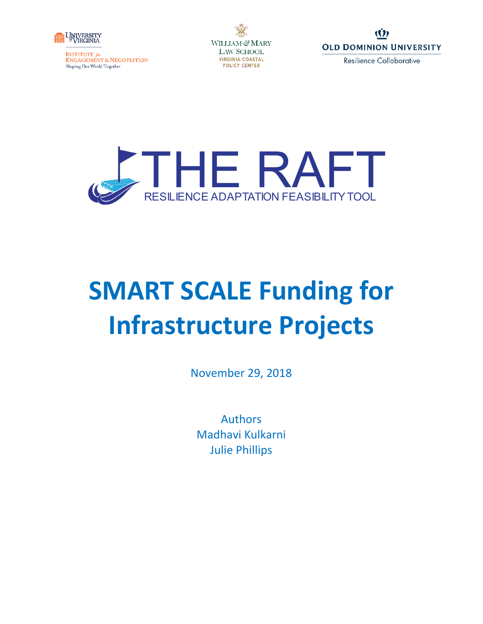

**INSTITUTE** for<br>ENGAGEMENT & NEGOTIATION Shaping Our World Together

WILLIAM & MARY **LAW SCHOOL VIRGINIA COASTAL POLICY CENTER** 





# **SMART SCALE Funding for Infrastructure Projects**

November 29, 2018

Authors Madhavi Kulkarni Julie Phillips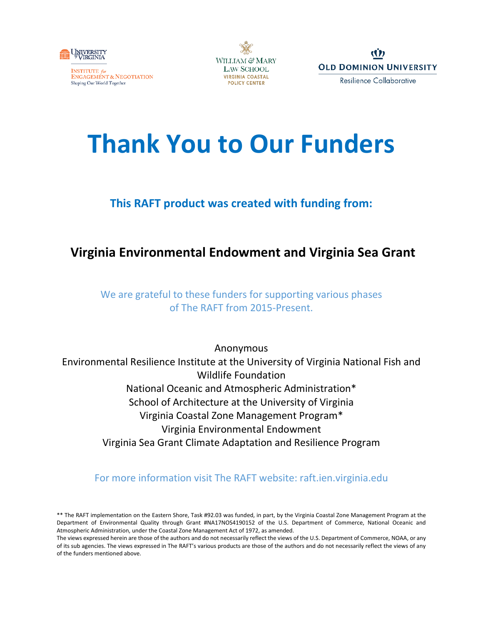





## **Thank You to Our Funders**

### **This RAFT product was created with funding from:**

## **Virginia Environmental Endowment and Virginia Sea Grant**

We are grateful to these funders for supporting various phases of The RAFT from 2015-Present.

Anonymous Environmental Resilience Institute at the University of Virginia National Fish and Wildlife Foundation National Oceanic and Atmospheric Administration\* School of Architecture at the University of Virginia Virginia Coastal Zone Management Program\* Virginia Environmental Endowment Virginia Sea Grant Climate Adaptation and Resilience Program

#### For more information visit The RAFT website: raft.ien.virginia.edu

<sup>\*\*</sup> The RAFT implementation on the Eastern Shore, Task #92.03 was funded, in part, by the Virginia Coastal Zone Management Program at the Department of Environmental Quality through Grant #NA17NOS4190152 of the U.S. Department of Commerce, National Oceanic and Atmospheric Administration, under the Coastal Zone Management Act of 1972, as amended.

The views expressed herein are those of the authors and do not necessarily reflect the views of the U.S. Department of Commerce, NOAA, or any of its sub agencies. The views expressed in The RAFT's various products are those of the authors and do not necessarily reflect the views of any of the funders mentioned above.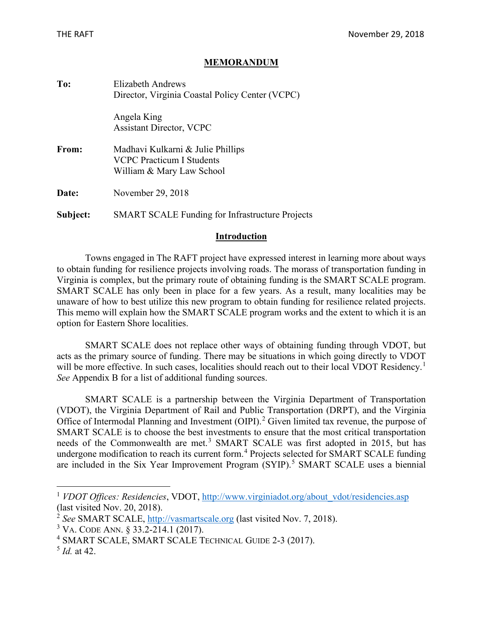#### **MEMORANDUM**

| To:      | Elizabeth Andrews<br>Director, Virginia Coastal Policy Center (VCPC)                        |  |  |  |  |  |  |  |  |
|----------|---------------------------------------------------------------------------------------------|--|--|--|--|--|--|--|--|
|          | Angela King<br><b>Assistant Director, VCPC</b>                                              |  |  |  |  |  |  |  |  |
| From:    | Madhavi Kulkarni & Julie Phillips<br>VCPC Practicum I Students<br>William & Mary Law School |  |  |  |  |  |  |  |  |
| Date:    | November 29, 2018                                                                           |  |  |  |  |  |  |  |  |
| Subject: | <b>SMART SCALE Funding for Infrastructure Projects</b>                                      |  |  |  |  |  |  |  |  |

#### **Introduction**

Towns engaged in The RAFT project have expressed interest in learning more about ways to obtain funding for resilience projects involving roads. The morass of transportation funding in Virginia is complex, but the primary route of obtaining funding is the SMART SCALE program. SMART SCALE has only been in place for a few years. As a result, many localities may be unaware of how to best utilize this new program to obtain funding for resilience related projects. This memo will explain how the SMART SCALE program works and the extent to which it is an option for Eastern Shore localities.

SMART SCALE does not replace other ways of obtaining funding through VDOT, but acts as the primary source of funding. There may be situations in which going directly to VDOT will be more effective. In such cases, localities should reach out to their local VDOT Residency.<sup>[1](#page-2-0)</sup> *See* Appendix B for a list of additional funding sources.

SMART SCALE is a partnership between the Virginia Department of Transportation (VDOT), the Virginia Department of Rail and Public Transportation (DRPT), and the Virginia Office of Intermodal Planning and Investment (OIPI).<sup>[2](#page-2-1)</sup> Given limited tax revenue, the purpose of SMART SCALE is to choose the best investments to ensure that the most critical transportation needs of the Commonwealth are met.<sup>[3](#page-2-2)</sup> SMART SCALE was first adopted in 2015, but has undergone modification to reach its current form.<sup>[4](#page-2-3)</sup> Projects selected for SMART SCALE funding are included in the Six Year Improvement Program (SYIP).<sup>[5](#page-2-4)</sup> SMART SCALE uses a biennial

<span id="page-2-0"></span><sup>&</sup>lt;sup>1</sup> *VDOT Offices: Residencies, VDOT, http://www.virginiadot.org/about vdot/residencies.asp* (last visited Nov. 20, 2018).

<span id="page-2-1"></span><sup>2</sup> *See* SMART SCALE, [http://vasmartscale.org](http://vasmartscale.org/) (last visited Nov. 7, 2018).

<span id="page-2-2"></span><sup>3</sup> VA. CODE ANN. § 33.2-214.1 (2017).

<span id="page-2-3"></span><sup>4</sup> SMART SCALE, SMART SCALE TECHNICAL GUIDE 2-3 (2017).

<span id="page-2-4"></span><sup>5</sup> *Id.* at 42.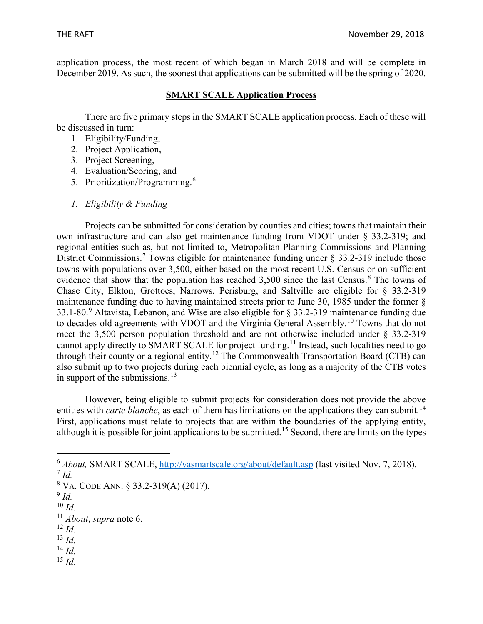application process, the most recent of which began in March 2018 and will be complete in December 2019. As such, the soonest that applications can be submitted will be the spring of 2020.

#### **SMART SCALE Application Process**

There are five primary steps in the SMART SCALE application process. Each of these will be discussed in turn:

- 1. Eligibility/Funding,
- 2. Project Application,
- 3. Project Screening,
- 4. Evaluation/Scoring, and
- 5. Prioritization/Programming.<sup>[6](#page-3-0)</sup>
- *1. Eligibility & Funding*

Projects can be submitted for consideration by counties and cities; towns that maintain their own infrastructure and can also get maintenance funding from VDOT under § 33.2-319; and regional entities such as, but not limited to, Metropolitan Planning Commissions and Planning District Commissions.<sup>[7](#page-3-1)</sup> Towns eligible for maintenance funding under § 33.2-319 include those towns with populations over 3,500, either based on the most recent U.S. Census or on sufficient evidence that show that the population has reached 3,500 since the last Census.<sup>[8](#page-3-2)</sup> The towns of Chase City, Elkton, Grottoes, Narrows, Perisburg, and Saltville are eligible for § 33.2-319 maintenance funding due to having maintained streets prior to June 30, 1985 under the former § 33.1-80.<sup>[9](#page-3-3)</sup> Altavista, Lebanon, and Wise are also eligible for  $\S$  33.2-319 maintenance funding due to decades-old agreements with VDOT and the Virginia General Assembly.<sup>[10](#page-3-4)</sup> Towns that do not meet the 3,500 person population threshold and are not otherwise included under § 33.2-319 cannot apply directly to SMART SCALE for project funding.<sup>[11](#page-3-5)</sup> Instead, such localities need to go through their county or a regional entity.<sup>[12](#page-3-6)</sup> The Commonwealth Transportation Board (CTB) can also submit up to two projects during each biennial cycle, as long as a majority of the CTB votes in support of the submissions. $^{13}$  $^{13}$  $^{13}$ 

However, being eligible to submit projects for consideration does not provide the above entities with *carte blanche*, as each of them has limitations on the applications they can submit.<sup>[14](#page-3-8)</sup> First, applications must relate to projects that are within the boundaries of the applying entity, although it is possible for joint applications to be submitted.[15](#page-3-9) Second, there are limits on the types

- <span id="page-3-6"></span><sup>12</sup> *Id.*
- <span id="page-3-7"></span><sup>13</sup> *Id.*
- <span id="page-3-8"></span><sup>14</sup> *Id.*
- <span id="page-3-9"></span><sup>15</sup> *Id.*

<span id="page-3-0"></span><sup>6</sup> *About,* SMART SCALE,<http://vasmartscale.org/about/default.asp> (last visited Nov. 7, 2018).

<span id="page-3-1"></span><sup>7</sup> *Id.*

<span id="page-3-2"></span><sup>8</sup> VA. CODE ANN. § 33.2-319(A) (2017).

<span id="page-3-3"></span> $\frac{9}{4}$ *Id.* 

<span id="page-3-4"></span><sup>10</sup> *Id.*

<span id="page-3-5"></span><sup>11</sup> *About*, *supra* note 6.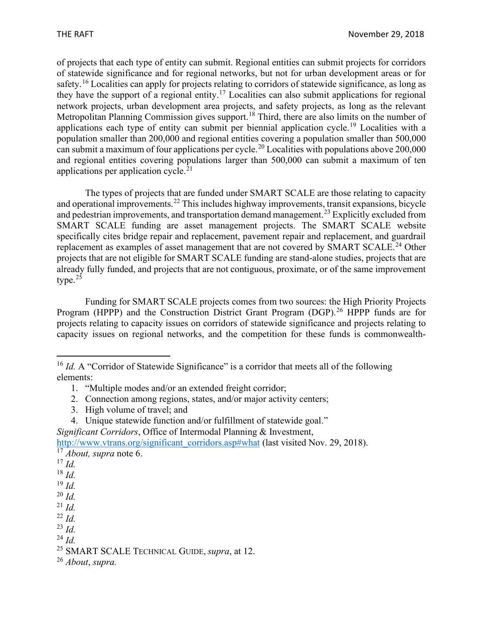of projects that each type of entity can submit. Regional entities can submit projects for corridors of statewide significance and for regional networks, but not for urban development areas or for safety.<sup>[16](#page-4-0)</sup> Localities can apply for projects relating to corridors of statewide significance, as long as they have the support of a regional entity.<sup>[17](#page-4-1)</sup> Localities can also submit applications for regional network projects, urban development area projects, and safety projects, as long as the relevant Metropolitan Planning Commission gives support.<sup>[18](#page-4-2)</sup> Third, there are also limits on the number of applications each type of entity can submit per biennial application cycle.[19](#page-4-3) Localities with a population smaller than 200,000 and regional entities covering a population smaller than 500,000 can submit a maximum of four applications per cycle.<sup>[20](#page-4-4)</sup> Localities with populations above  $200,000$ and regional entities covering populations larger than 500,000 can submit a maximum of ten applications per application cycle. $21$ 

The types of projects that are funded under SMART SCALE are those relating to capacity and operational improvements.<sup>[22](#page-4-6)</sup> This includes highway improvements, transit expansions, bicycle and pedestrian improvements, and transportation demand management.<sup>[23](#page-4-7)</sup> Explicitly excluded from SMART SCALE funding are asset management projects. The SMART SCALE website specifically cites bridge repair and replacement, pavement repair and replacement, and guardrail replacement as examples of asset management that are not covered by SMART SCALE.<sup>[24](#page-4-8)</sup> Other projects that are not eligible for SMART SCALE funding are stand-alone studies, projects that are already fully funded, and projects that are not contiguous, proximate, or of the same improvement type. $25$ 

Funding for SMART SCALE projects comes from two sources: the High Priority Projects Program (HPPP) and the Construction District Grant Program (DGP).<sup>[26](#page-4-10)</sup> HPPP funds are for projects relating to capacity issues on corridors of statewide significance and projects relating to capacity issues on regional networks, and the competition for these funds is commonwealth-

- 3. High volume of travel; and
- 4. Unique statewide function and/or fulfillment of statewide goal."

*Significant Corridors*, Office of Intermodal Planning & Investment,

<span id="page-4-1"></span>[http://www.vtrans.org/significant\\_corridors.asp#what](http://www.vtrans.org/significant_corridors.asp#what) (last visited Nov. 29, 2018). <sup>17</sup> *About, supra* note 6.

- <sup>17</sup> *Id.*
- <span id="page-4-2"></span><sup>18</sup> *Id.*

<span id="page-4-4"></span><sup>20</sup> *Id.*

<span id="page-4-6"></span><sup>22</sup> *Id.*

<span id="page-4-0"></span><sup>&</sup>lt;sup>16</sup> *Id.* A "Corridor of Statewide Significance" is a corridor that meets all of the following elements:

<sup>1.</sup> "Multiple modes and/or an extended freight corridor;

<sup>2.</sup> Connection among regions, states, and/or major activity centers;

<span id="page-4-3"></span><sup>19</sup> *Id.*

<span id="page-4-5"></span><sup>21</sup> *Id.*

<span id="page-4-7"></span><sup>23</sup> *Id.*

<span id="page-4-8"></span><sup>24</sup> *Id.*

<span id="page-4-9"></span><sup>25</sup> SMART SCALE TECHNICAL GUIDE, *supra*, at 12.

<span id="page-4-10"></span><sup>26</sup> *About*, *supra.*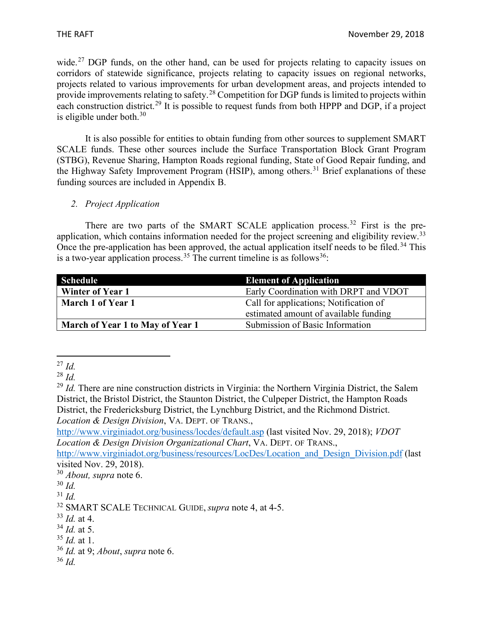wide.<sup>[27](#page-5-0)</sup> DGP funds, on the other hand, can be used for projects relating to capacity issues on corridors of statewide significance, projects relating to capacity issues on regional networks, projects related to various improvements for urban development areas, and projects intended to provide improvements relating to safety.[28](#page-5-1) Competition for DGP funds is limited to projects within each construction district.<sup>[29](#page-5-2)</sup> It is possible to request funds from both HPPP and DGP, if a project is eligible under both. $30$ 

It is also possible for entities to obtain funding from other sources to supplement SMART SCALE funds. These other sources include the Surface Transportation Block Grant Program (STBG), Revenue Sharing, Hampton Roads regional funding, State of Good Repair funding, and the Highway Safety Improvement Program (HSIP), among others.<sup>[31](#page-5-4)</sup> Brief explanations of these funding sources are included in Appendix B.

*2. Project Application* 

There are two parts of the SMART SCALE application process.<sup>[32](#page-5-5)</sup> First is the pre-application, which contains information needed for the project screening and eligibility review.<sup>[33](#page-5-6)</sup> Once the pre-application has been approved, the actual application itself needs to be filed.<sup>[34](#page-5-7)</sup> This is a two-year application process.<sup>[35](#page-5-8)</sup> The current timeline is as follows<sup>36</sup>:

| <b>Schedule</b>                  | <b>Element of Application</b>          |
|----------------------------------|----------------------------------------|
| <b>Winter of Year 1</b>          | Early Coordination with DRPT and VDOT  |
| March 1 of Year 1                | Call for applications; Notification of |
|                                  | estimated amount of available funding  |
| March of Year 1 to May of Year 1 | Submission of Basic Information        |

<span id="page-5-0"></span><sup>27</sup> *Id.*

<span id="page-5-1"></span><sup>28</sup> *Id.*

<span id="page-5-2"></span><sup>&</sup>lt;sup>29</sup> *Id.* There are nine construction districts in Virginia: the Northern Virginia District, the Salem District, the Bristol District, the Staunton District, the Culpeper District, the Hampton Roads District, the Fredericksburg District, the Lynchburg District, and the Richmond District. *Location & Design Division*, VA. DEPT. OF TRANS.,

<http://www.virginiadot.org/business/locdes/default.asp> (last visited Nov. 29, 2018); *VDOT Location & Design Division Organizational Chart*, VA. DEPT. OF TRANS.,

[http://www.virginiadot.org/business/resources/LocDes/Location\\_and\\_Design\\_Division.pdf](http://www.virginiadot.org/business/resources/LocDes/Location_and_Design_Division.pdf) (last visited Nov. 29, 2018).

<span id="page-5-3"></span><sup>30</sup> *About, supra* note 6.

 $30$  *Id.* 

<span id="page-5-4"></span><sup>31</sup> *Id.*

<span id="page-5-5"></span><sup>32</sup> SMART SCALE TECHNICAL GUIDE, *supra* note 4, at 4-5.

<span id="page-5-6"></span><sup>33</sup> *Id.* at 4.

<span id="page-5-7"></span><sup>34</sup> *Id.* at 5.

<span id="page-5-8"></span><sup>35</sup> *Id.* at 1.

<span id="page-5-9"></span><sup>36</sup> *Id.* at 9; *About*, *supra* note 6.

<sup>36</sup> *Id.*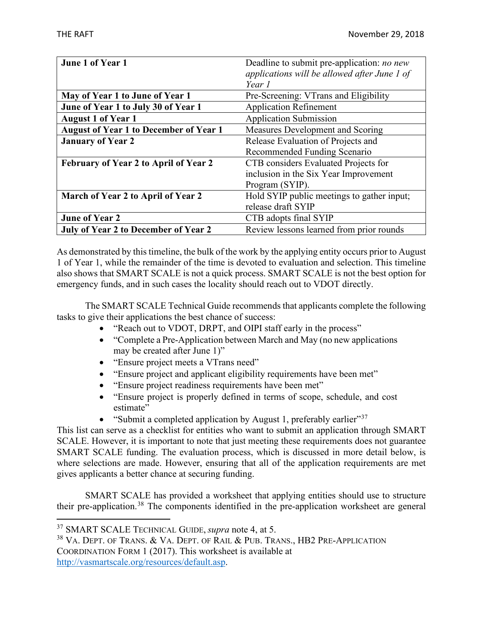| June 1 of Year 1                              | Deadline to submit pre-application: <i>no new</i> |
|-----------------------------------------------|---------------------------------------------------|
|                                               | applications will be allowed after June 1 of      |
|                                               | Year 1                                            |
| May of Year 1 to June of Year 1               | Pre-Screening: VTrans and Eligibility             |
| June of Year 1 to July 30 of Year 1           | <b>Application Refinement</b>                     |
| <b>August 1 of Year 1</b>                     | <b>Application Submission</b>                     |
| <b>August of Year 1 to December of Year 1</b> | Measures Development and Scoring                  |
| <b>January of Year 2</b>                      | Release Evaluation of Projects and                |
|                                               | Recommended Funding Scenario                      |
| <b>February of Year 2 to April of Year 2</b>  | CTB considers Evaluated Projects for              |
|                                               | inclusion in the Six Year Improvement             |
|                                               | Program (SYIP).                                   |
| March of Year 2 to April of Year 2            | Hold SYIP public meetings to gather input;        |
|                                               | release draft SYIP                                |
| <b>June of Year 2</b>                         | CTB adopts final SYIP                             |
| <b>July of Year 2 to December of Year 2</b>   | Review lessons learned from prior rounds          |

As demonstrated by this timeline, the bulk of the work by the applying entity occurs prior to August 1 of Year 1, while the remainder of the time is devoted to evaluation and selection. This timeline also shows that SMART SCALE is not a quick process. SMART SCALE is not the best option for emergency funds, and in such cases the locality should reach out to VDOT directly.

The SMART SCALE Technical Guide recommends that applicants complete the following tasks to give their applications the best chance of success:

- "Reach out to VDOT, DRPT, and OIPI staff early in the process"
- "Complete a Pre-Application between March and May (no new applications may be created after June 1)"
- "Ensure project meets a VTrans need"
- "Ensure project and applicant eligibility requirements have been met"
- "Ensure project readiness requirements have been met"
- "Ensure project is properly defined in terms of scope, schedule, and cost estimate"
- "Submit a completed application by August 1, preferably earlier"<sup>[37](#page-6-0)</sup>

This list can serve as a checklist for entities who want to submit an application through SMART SCALE. However, it is important to note that just meeting these requirements does not guarantee SMART SCALE funding. The evaluation process, which is discussed in more detail below, is where selections are made. However, ensuring that all of the application requirements are met gives applicants a better chance at securing funding.

SMART SCALE has provided a worksheet that applying entities should use to structure their pre-application.[38](#page-6-1) The components identified in the pre-application worksheet are general

<span id="page-6-1"></span><sup>38</sup> VA. DEPT. OF TRANS. & VA. DEPT. OF RAIL & PUB. TRANS., HB2 PRE-APPLICATION COORDINATION FORM 1 (2017). This worksheet is available at [http://vasmartscale.org/resources/default.asp.](http://vasmartscale.org/resources/default.asp)

<span id="page-6-0"></span><sup>37</sup> SMART SCALE TECHNICAL GUIDE, *supra* note 4, at 5.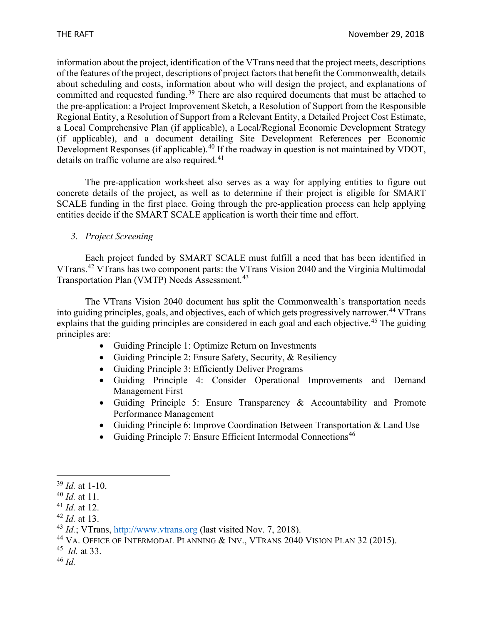information about the project, identification of the VTrans need that the project meets, descriptions of the features of the project, descriptions of project factors that benefit the Commonwealth, details about scheduling and costs, information about who will design the project, and explanations of committed and requested funding.<sup>[39](#page-7-0)</sup> There are also required documents that must be attached to the pre-application: a Project Improvement Sketch, a Resolution of Support from the Responsible Regional Entity, a Resolution of Support from a Relevant Entity, a Detailed Project Cost Estimate, a Local Comprehensive Plan (if applicable), a Local/Regional Economic Development Strategy (if applicable), and a document detailing Site Development References per Economic Development Responses (if applicable).<sup>[40](#page-7-1)</sup> If the roadway in question is not maintained by VDOT, details on traffic volume are also required.<sup>[41](#page-7-2)</sup>

The pre-application worksheet also serves as a way for applying entities to figure out concrete details of the project, as well as to determine if their project is eligible for SMART SCALE funding in the first place. Going through the pre-application process can help applying entities decide if the SMART SCALE application is worth their time and effort.

#### *3. Project Screening*

Each project funded by SMART SCALE must fulfill a need that has been identified in VTrans.[42](#page-7-3) VTrans has two component parts: the VTrans Vision 2040 and the Virginia Multimodal Transportation Plan (VMTP) Needs Assessment.<sup>[43](#page-7-4)</sup>

The VTrans Vision 2040 document has split the Commonwealth's transportation needs into guiding principles, goals, and objectives, each of which gets progressively narrower.<sup>[44](#page-7-5)</sup> VTrans explains that the guiding principles are considered in each goal and each objective.<sup>[45](#page-7-6)</sup> The guiding principles are:

- Guiding Principle 1: Optimize Return on Investments
- Guiding Principle 2: Ensure Safety, Security, & Resiliency
- Guiding Principle 3: Efficiently Deliver Programs
- Guiding Principle 4: Consider Operational Improvements and Demand Management First
- Guiding Principle 5: Ensure Transparency & Accountability and Promote Performance Management
- Guiding Principle 6: Improve Coordination Between Transportation & Land Use
- Guiding Principle 7: Ensure Efficient Intermodal Connections<sup>[46](#page-7-7)</sup>

<span id="page-7-7"></span><span id="page-7-6"></span><sup>45</sup> *Id.* at 33. <sup>46</sup> *Id.*

<span id="page-7-0"></span><sup>39</sup> *Id.* at 1-10.

<span id="page-7-1"></span><sup>40</sup> *Id.* at 11.

<span id="page-7-2"></span><sup>41</sup> *Id.* at 12.

<span id="page-7-3"></span><sup>42</sup> *Id.* at 13.

<span id="page-7-4"></span><sup>43</sup> *Id.*; VTrans, [http://www.vtrans.org](http://www.vtrans.org/) (last visited Nov. 7, 2018).

<span id="page-7-5"></span><sup>&</sup>lt;sup>44</sup> VA. OFFICE OF INTERMODAL PLANNING & INV., VTRANS 2040 VISION PLAN 32 (2015).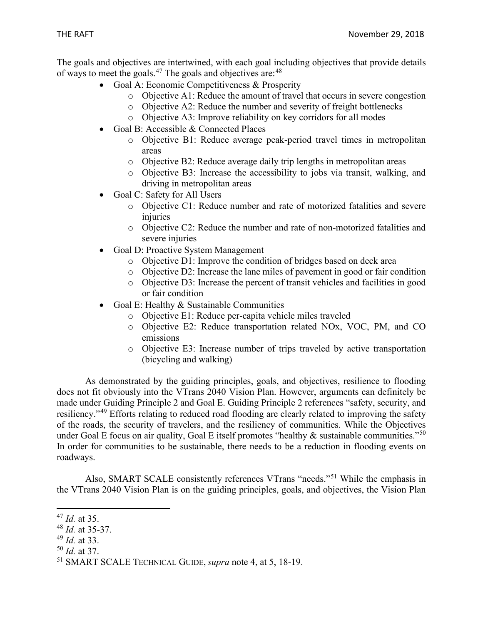The goals and objectives are intertwined, with each goal including objectives that provide details of ways to meet the goals.<sup>[47](#page-8-0)</sup> The goals and objectives are:  $48$ 

- Goal A: Economic Competitiveness & Prosperity
	- o Objective A1: Reduce the amount of travel that occurs in severe congestion
	- o Objective A2: Reduce the number and severity of freight bottlenecks
	- o Objective A3: Improve reliability on key corridors for all modes
- Goal B: Accessible & Connected Places
	- o Objective B1: Reduce average peak-period travel times in metropolitan areas
	- o Objective B2: Reduce average daily trip lengths in metropolitan areas
	- o Objective B3: Increase the accessibility to jobs via transit, walking, and driving in metropolitan areas
- Goal C: Safety for All Users
	- o Objective C1: Reduce number and rate of motorized fatalities and severe injuries
	- o Objective C2: Reduce the number and rate of non-motorized fatalities and severe injuries
- Goal D: Proactive System Management
	- o Objective D1: Improve the condition of bridges based on deck area
	- o Objective D2: Increase the lane miles of pavement in good or fair condition
	- o Objective D3: Increase the percent of transit vehicles and facilities in good or fair condition
- Goal E: Healthy & Sustainable Communities
	- o Objective E1: Reduce per-capita vehicle miles traveled
	- o Objective E2: Reduce transportation related NOx, VOC, PM, and CO emissions
	- o Objective E3: Increase number of trips traveled by active transportation (bicycling and walking)

As demonstrated by the guiding principles, goals, and objectives, resilience to flooding does not fit obviously into the VTrans 2040 Vision Plan. However, arguments can definitely be made under Guiding Principle 2 and Goal E. Guiding Principle 2 references "safety, security, and resiliency."[49](#page-8-2) Efforts relating to reduced road flooding are clearly related to improving the safety of the roads, the security of travelers, and the resiliency of communities. While the Objectives under Goal E focus on air quality, Goal E itself promotes "healthy  $\&$  sustainable communities."<sup>[50](#page-8-3)</sup> In order for communities to be sustainable, there needs to be a reduction in flooding events on roadways.

Also, SMART SCALE consistently references VTrans "needs."[51](#page-8-4) While the emphasis in the VTrans 2040 Vision Plan is on the guiding principles, goals, and objectives, the Vision Plan

<span id="page-8-3"></span><sup>50</sup> *Id.* at 37.

<span id="page-8-0"></span><sup>47</sup> *Id.* at 35.

<span id="page-8-1"></span><sup>48</sup> *Id.* at 35-37.

<span id="page-8-2"></span><sup>49</sup> *Id.* at 33.

<span id="page-8-4"></span><sup>51</sup> SMART SCALE TECHNICAL GUIDE, *supra* note 4, at 5, 18-19.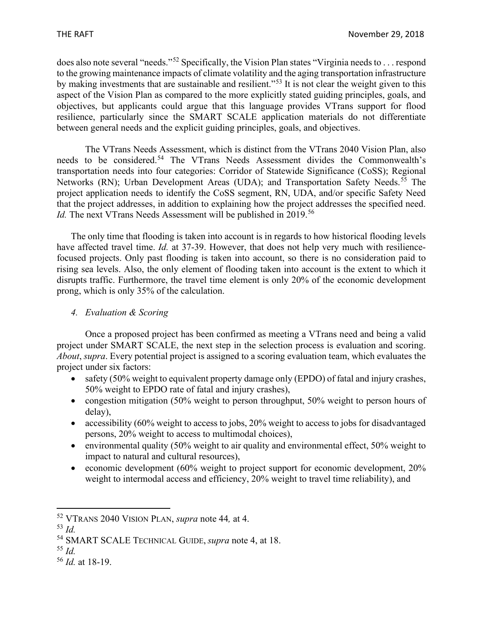does also note several "needs."[52](#page-9-0) Specifically, the Vision Plan states "Virginia needs to . . . respond to the growing maintenance impacts of climate volatility and the aging transportation infrastructure by making investments that are sustainable and resilient."[53](#page-9-1) It is not clear the weight given to this aspect of the Vision Plan as compared to the more explicitly stated guiding principles, goals, and objectives, but applicants could argue that this language provides VTrans support for flood resilience, particularly since the SMART SCALE application materials do not differentiate between general needs and the explicit guiding principles, goals, and objectives.

The VTrans Needs Assessment, which is distinct from the VTrans 2040 Vision Plan, also needs to be considered.<sup>[54](#page-9-2)</sup> The VTrans Needs Assessment divides the Commonwealth's transportation needs into four categories: Corridor of Statewide Significance (CoSS); Regional Networks (RN); Urban Development Areas (UDA); and Transportation Safety Needs.<sup>[55](#page-9-3)</sup> The project application needs to identify the CoSS segment, RN, UDA, and/or specific Safety Need that the project addresses, in addition to explaining how the project addresses the specified need. *Id.* The next VTrans Needs Assessment will be published in 2019.<sup>[56](#page-9-4)</sup>

The only time that flooding is taken into account is in regards to how historical flooding levels have affected travel time. *Id.* at 37-39. However, that does not help very much with resiliencefocused projects. Only past flooding is taken into account, so there is no consideration paid to rising sea levels. Also, the only element of flooding taken into account is the extent to which it disrupts traffic. Furthermore, the travel time element is only 20% of the economic development prong, which is only 35% of the calculation.

#### *4. Evaluation & Scoring*

Once a proposed project has been confirmed as meeting a VTrans need and being a valid project under SMART SCALE, the next step in the selection process is evaluation and scoring. *About*, *supra*. Every potential project is assigned to a scoring evaluation team, which evaluates the project under six factors:

- safety (50% weight to equivalent property damage only (EPDO) of fatal and injury crashes, 50% weight to EPDO rate of fatal and injury crashes),
- congestion mitigation (50% weight to person throughput, 50% weight to person hours of delay),
- accessibility (60% weight to access to jobs, 20% weight to access to jobs for disadvantaged persons, 20% weight to access to multimodal choices),
- environmental quality (50% weight to air quality and environmental effect, 50% weight to impact to natural and cultural resources),
- economic development (60% weight to project support for economic development, 20% weight to intermodal access and efficiency, 20% weight to travel time reliability), and

<span id="page-9-3"></span><sup>55</sup> *Id.*

<span id="page-9-0"></span><sup>52</sup> VTRANS 2040 VISION PLAN, *supra* note 44*,* at 4.

<span id="page-9-1"></span><sup>53</sup> *Id.*

<span id="page-9-2"></span><sup>54</sup> SMART SCALE TECHNICAL GUIDE, *supra* note 4, at 18.

<span id="page-9-4"></span><sup>56</sup> *Id.* at 18-19.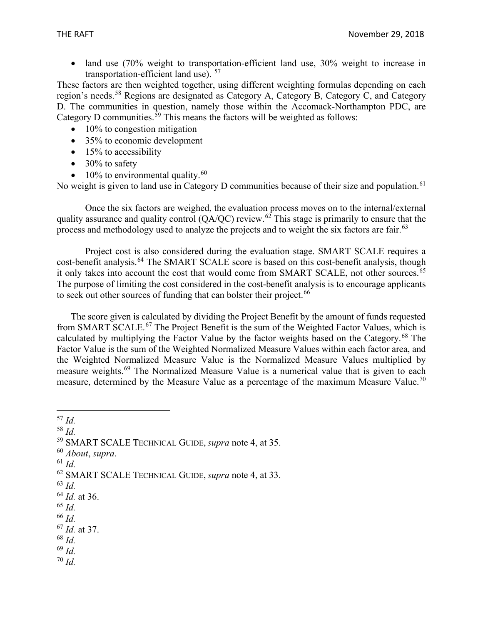• land use (70% weight to transportation-efficient land use, 30% weight to increase in transportation-efficient land use).  $57$ 

These factors are then weighted together, using different weighting formulas depending on each region's needs.[58](#page-10-1) Regions are designated as Category A, Category B, Category C, and Category D. The communities in question, namely those within the Accomack-Northampton PDC, are Category D communities.<sup>[59](#page-10-2)</sup> This means the factors will be weighted as follows:

- $\bullet$  10% to congestion mitigation
- 35% to economic development
- 15% to accessibility
- $\bullet$  30% to safety
- 10% to environmental quality. $60$

No weight is given to land use in Category D communities because of their size and population.<sup>[61](#page-10-4)</sup>

Once the six factors are weighed, the evaluation process moves on to the internal/external quality assurance and quality control  $(OA/OC)$  review.<sup>[62](#page-10-5)</sup> This stage is primarily to ensure that the process and methodology used to analyze the projects and to weight the six factors are fair.<sup>[63](#page-10-6)</sup>

Project cost is also considered during the evaluation stage. SMART SCALE requires a cost-benefit analysis.<sup>[64](#page-10-7)</sup> The SMART SCALE score is based on this cost-benefit analysis, though it only takes into account the cost that would come from SMART SCALE, not other sources.<sup>[65](#page-10-8)</sup> The purpose of limiting the cost considered in the cost-benefit analysis is to encourage applicants to seek out other sources of funding that can bolster their project.<sup>[66](#page-10-9)</sup>

The score given is calculated by dividing the Project Benefit by the amount of funds requested from SMART SCALE.[67](#page-10-10) The Project Benefit is the sum of the Weighted Factor Values, which is calculated by multiplying the Factor Value by the factor weights based on the Category.<sup>[68](#page-10-11)</sup> The Factor Value is the sum of the Weighted Normalized Measure Values within each factor area, and the Weighted Normalized Measure Value is the Normalized Measure Values multiplied by measure weights.<sup>[69](#page-10-12)</sup> The Normalized Measure Value is a numerical value that is given to each measure, determined by the Measure Value as a percentage of the maximum Measure Value.<sup>[70](#page-10-13)</sup>

<span id="page-10-4"></span><sup>61</sup> *Id.*

- <span id="page-10-6"></span><sup>63</sup> *Id.*
- <span id="page-10-7"></span><sup>64</sup> *Id.* at 36.
- <span id="page-10-8"></span><sup>65</sup> *Id.*
- <span id="page-10-9"></span><sup>66</sup> *Id.*

<span id="page-10-11"></span><sup>68</sup> *Id.*

<span id="page-10-12"></span><sup>69</sup> *Id.*

<span id="page-10-13"></span><sup>70</sup> *Id.*

<span id="page-10-0"></span><sup>57</sup> *Id.*

<span id="page-10-1"></span><sup>58</sup> *Id.*

<span id="page-10-2"></span><sup>59</sup> SMART SCALE TECHNICAL GUIDE, *supra* note 4, at 35.

<span id="page-10-3"></span><sup>60</sup> *About*, *supra*.

<span id="page-10-5"></span><sup>62</sup> SMART SCALE TECHNICAL GUIDE, *supra* note 4, at 33.

<span id="page-10-10"></span><sup>67</sup> *Id.* at 37.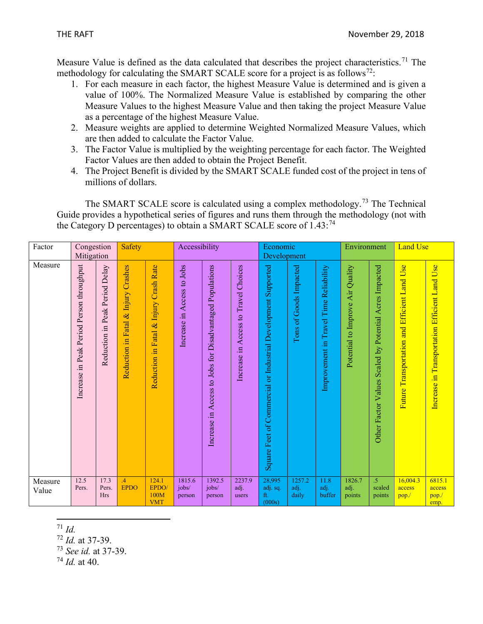Measure Value is defined as the data calculated that describes the project characteristics.<sup>[71](#page-11-0)</sup> The methodology for calculating the SMART SCALE score for a project is as follows<sup>72</sup>:

- 1. For each measure in each factor, the highest Measure Value is determined and is given a value of 100%. The Normalized Measure Value is established by comparing the other Measure Values to the highest Measure Value and then taking the project Measure Value as a percentage of the highest Measure Value.
- 2. Measure weights are applied to determine Weighted Normalized Measure Values, which are then added to calculate the Factor Value.
- 3. The Factor Value is multiplied by the weighting percentage for each factor. The Weighted Factor Values are then added to obtain the Project Benefit.
- 4. The Project Benefit is divided by the SMART SCALE funded cost of the project in tens of millions of dollars.

The SMART SCALE score is calculated using a complex methodology.<sup>[73](#page-11-2)</sup> The Technical Guide provides a hypothetical series of figures and runs them through the methodology (not with the Category D percentages) to obtain a SMART SCALE score of  $1.43$ :<sup>[74](#page-11-3)</sup>

| Factor           | Congestion<br>Mitigation                     |                                   | <b>Safety</b>                                                 |                                                        | Accessibility                 |                                                          | Economic<br>Development                    |                                                               | Environment             |                                        | <b>Land Use</b>                  |                                                              |                                                        |                                               |
|------------------|----------------------------------------------|-----------------------------------|---------------------------------------------------------------|--------------------------------------------------------|-------------------------------|----------------------------------------------------------|--------------------------------------------|---------------------------------------------------------------|-------------------------|----------------------------------------|----------------------------------|--------------------------------------------------------------|--------------------------------------------------------|-----------------------------------------------|
| Measure          | in Peak Period Person throughput<br>Increase | in Peak Period Delay<br>Reduction | Crashes<br>Injury<br>$\infty$<br>Fatal.<br>$\Xi$<br>Reduction | <b>Crash Rate</b><br>Injury<br>Fatal &<br>Reduction in | Access to Jobs<br>Increase in | Increase in Access to Jobs for Disadvantaged Populations | Access to Travel Choices<br>음.<br>Increase | Square Feet of Commercial or Industrial Development Supported | Tons of Goods Impacted  | Improvement in Travel Time Reliability | Potential to Improve Air Quality | Acres Impacted<br>Scaled by Potential<br>Other Factor Values | <b>Use</b><br>Future Transportation and Efficient Land | Increase in Transportation Efficient Land Use |
| Measure<br>Value | 12.5<br>Pers.                                | 17.3<br>Pers.<br><b>Hrs</b>       | $\overline{A}$<br><b>EPDO</b>                                 | 124.1<br>EPDO/<br>100M<br><b>VMT</b>                   | 1815.6<br>jobs/<br>person     | 1392.5<br>jobs/<br>person                                | 2237.9<br>adj.<br>users                    | 28,995<br>adj. sq.<br>ft.<br>(000s)                           | 1257.2<br>adj.<br>daily | 11.8<br>adj.<br>buffer                 | 1826.7<br>adj.<br>points         | $\overline{5}$<br>scaled<br>points                           | 16,004.3<br>access<br>pop.                             | 6815.1<br>access<br>pop.<br>emp.              |

<span id="page-11-0"></span><sup>71</sup> *Id.*

<span id="page-11-1"></span><sup>72</sup> *Id.* at 37-39.

<span id="page-11-2"></span><sup>73</sup> *See id.* at 37-39.

<span id="page-11-3"></span> $74$  *Id.* at 40.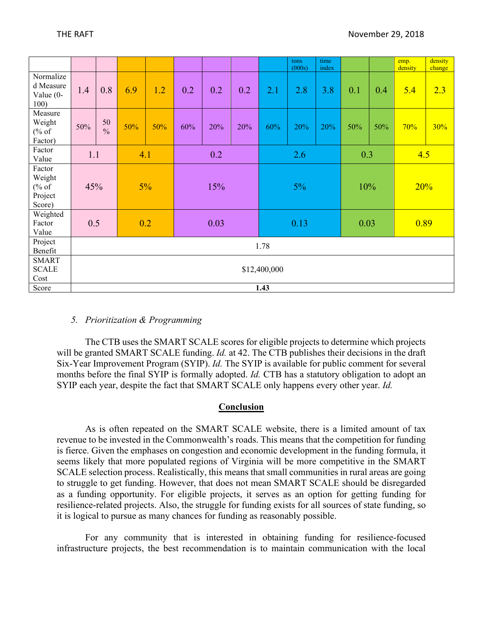|                                                |              |                     |     |     |      |     |     |      | tons<br>(000s) | time<br>index |      |     | emp.<br>density | density<br>change |
|------------------------------------------------|--------------|---------------------|-----|-----|------|-----|-----|------|----------------|---------------|------|-----|-----------------|-------------------|
| Normalize<br>d Measure<br>Value $(0 -$<br>100) | 1.4          | 0.8                 | 6.9 | 1.2 | 0.2  | 0.2 | 0.2 | 2.1  | 2.8            | 3.8           | 0.1  | 0.4 | 5.4             | 2.3               |
| Measure<br>Weight<br>% of<br>Factor)           | 50%          | 50<br>$\frac{0}{0}$ | 50% | 50% | 60%  | 20% | 20% | 60%  | 20%            | 20%           | 50%  | 50% | 70%             | 30%               |
| Factor<br>Value                                | 1.1          | 4.1                 |     | 0.2 |      |     | 2.6 |      |                | 0.3           |      | 4.5 |                 |                   |
| Factor<br>Weight<br>% of<br>Project<br>Score)  | 45%          |                     | 5%  |     | 15%  |     | 5%  |      | 10%            |               | 20%  |     |                 |                   |
| Weighted<br>Factor<br>Value                    |              | 0.5<br>0.2          |     |     | 0.03 |     |     | 0.13 |                |               | 0.03 |     | 0.89            |                   |
| Project<br>Benefit                             | 1.78         |                     |     |     |      |     |     |      |                |               |      |     |                 |                   |
| <b>SMART</b><br><b>SCALE</b><br>Cost           | \$12,400,000 |                     |     |     |      |     |     |      |                |               |      |     |                 |                   |
| Score                                          | 1.43         |                     |     |     |      |     |     |      |                |               |      |     |                 |                   |

#### *5. Prioritization & Programming*

The CTB uses the SMART SCALE scores for eligible projects to determine which projects will be granted SMART SCALE funding. *Id.* at 42. The CTB publishes their decisions in the draft Six-Year Improvement Program (SYIP). *Id.* The SYIP is available for public comment for several months before the final SYIP is formally adopted. *Id.* CTB has a statutory obligation to adopt an SYIP each year, despite the fact that SMART SCALE only happens every other year. *Id.* 

#### **Conclusion**

As is often repeated on the SMART SCALE website, there is a limited amount of tax revenue to be invested in the Commonwealth's roads. This means that the competition for funding is fierce. Given the emphases on congestion and economic development in the funding formula, it seems likely that more populated regions of Virginia will be more competitive in the SMART SCALE selection process. Realistically, this means that small communities in rural areas are going to struggle to get funding. However, that does not mean SMART SCALE should be disregarded as a funding opportunity. For eligible projects, it serves as an option for getting funding for resilience-related projects. Also, the struggle for funding exists for all sources of state funding, so it is logical to pursue as many chances for funding as reasonably possible.

For any community that is interested in obtaining funding for resilience-focused infrastructure projects, the best recommendation is to maintain communication with the local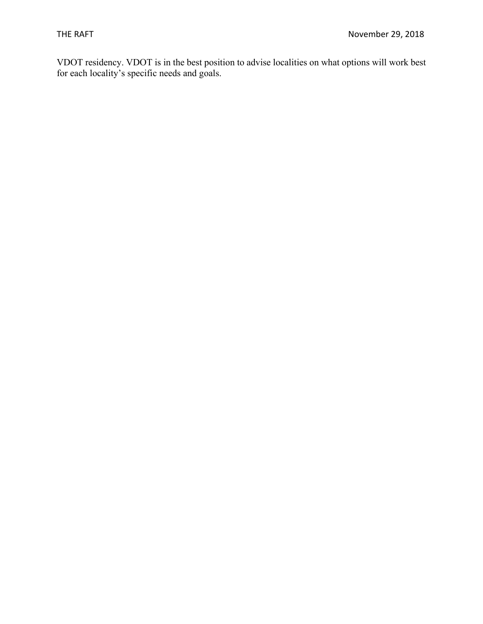VDOT residency. VDOT is in the best position to advise localities on what options will work best for each locality's specific needs and goals.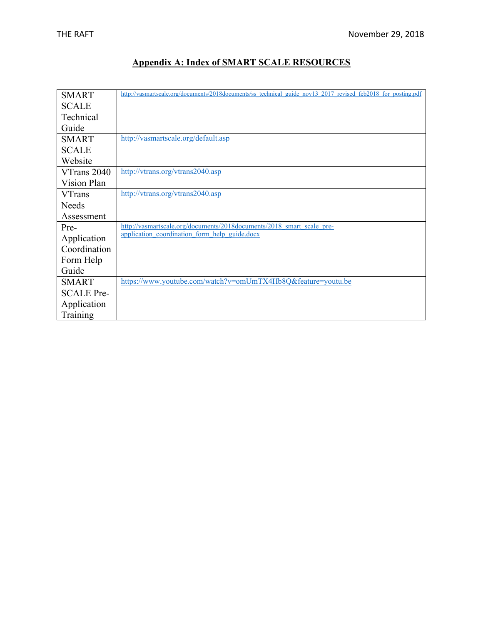#### **Appendix A: Index of SMART SCALE RESOURCES**

| <b>SMART</b>      | http://vasmartscale.org/documents/2018documents/ss technical guide nov13 2017 revised feb2018 for posting.pdf |
|-------------------|---------------------------------------------------------------------------------------------------------------|
| <b>SCALE</b>      |                                                                                                               |
| Technical         |                                                                                                               |
| Guide             |                                                                                                               |
| <b>SMART</b>      | http://vasmartscale.org/default.asp                                                                           |
| <b>SCALE</b>      |                                                                                                               |
| Website           |                                                                                                               |
| VTrans 2040       | http://vtrans.org/vtrans2040.asp                                                                              |
| Vision Plan       |                                                                                                               |
| <b>VTrans</b>     | http://vtrans.org/vtrans2040.asp                                                                              |
| <b>Needs</b>      |                                                                                                               |
| Assessment        |                                                                                                               |
| Pre-              | http://vasmartscale.org/documents/2018documents/2018 smart scale pre-                                         |
| Application       | application coordination form help guide.docx                                                                 |
| Coordination      |                                                                                                               |
| Form Help         |                                                                                                               |
| Guide             |                                                                                                               |
| <b>SMART</b>      | https://www.youtube.com/watch?v=omUmTX4Hb8Q&feature=youtu.be                                                  |
| <b>SCALE Pre-</b> |                                                                                                               |
| Application       |                                                                                                               |
| Training          |                                                                                                               |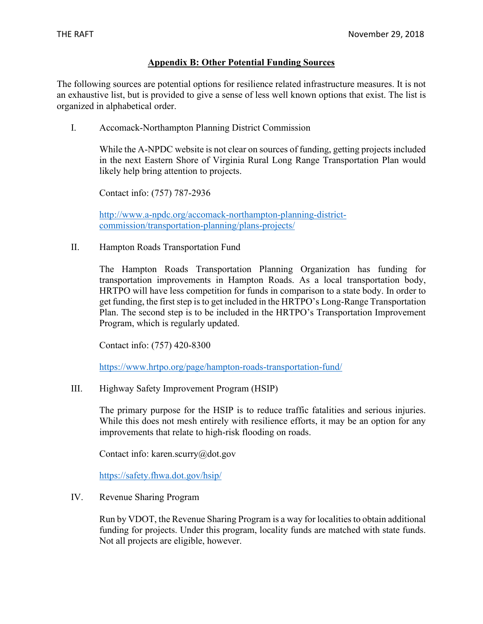#### **Appendix B: Other Potential Funding Sources**

The following sources are potential options for resilience related infrastructure measures. It is not an exhaustive list, but is provided to give a sense of less well known options that exist. The list is organized in alphabetical order.

I. Accomack-Northampton Planning District Commission

While the A-NPDC website is not clear on sources of funding, getting projects included in the next Eastern Shore of Virginia Rural Long Range Transportation Plan would likely help bring attention to projects.

Contact info: (757) 787-2936

[http://www.a-npdc.org/accomack-northampton-planning-district](http://www.a-npdc.org/accomack-northampton-planning-district-commission/transportation-planning/plans-projects/)[commission/transportation-planning/plans-projects/](http://www.a-npdc.org/accomack-northampton-planning-district-commission/transportation-planning/plans-projects/)

II. Hampton Roads Transportation Fund

The Hampton Roads Transportation Planning Organization has funding for transportation improvements in Hampton Roads. As a local transportation body, HRTPO will have less competition for funds in comparison to a state body. In order to get funding, the first step is to get included in the HRTPO's Long-Range Transportation Plan. The second step is to be included in the HRTPO's Transportation Improvement Program, which is regularly updated.

Contact info: (757) 420-8300

<https://www.hrtpo.org/page/hampton-roads-transportation-fund/>

III. Highway Safety Improvement Program (HSIP)

The primary purpose for the HSIP is to reduce traffic fatalities and serious injuries. While this does not mesh entirely with resilience efforts, it may be an option for any improvements that relate to high-risk flooding on roads.

Contact info: karen.scurry@dot.gov

<https://safety.fhwa.dot.gov/hsip/>

IV. Revenue Sharing Program

Run by VDOT, the Revenue Sharing Program is a way for localities to obtain additional funding for projects. Under this program, locality funds are matched with state funds. Not all projects are eligible, however.